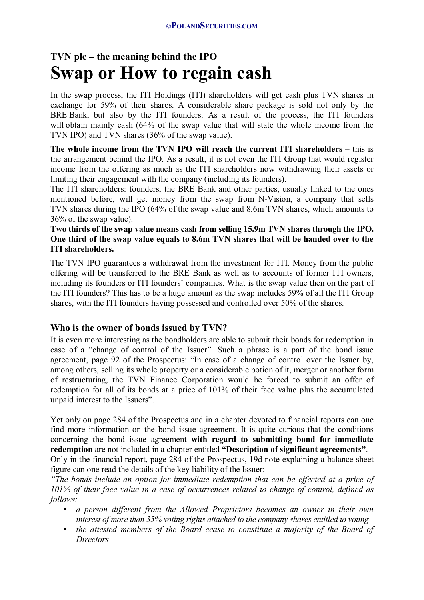# **TVN plc – the meaning behind the IPO Swap or How to regain cash**

In the swap process, the ITI Holdings (ITI) shareholders will get cash plus TVN shares in exchange for 59% of their shares. A considerable share package is sold not only by the BRE Bank, but also by the ITI founders. As a result of the process, the ITI founders will obtain mainly cash (64% of the swap value that will state the whole income from the TVN IPO) and TVN shares (36% of the swap value).

**The whole income from the TVN IPO will reach the current ITI shareholders** – this is the arrangement behind the IPO. As a result, it is not even the ITI Group that would register income from the offering as much as the ITI shareholders now withdrawing their assets or limiting their engagement with the company (including its founders).

The ITI shareholders: founders, the BRE Bank and other parties, usually linked to the ones mentioned before, will get money from the swap from N-Vision, a company that sells TVN shares during the IPO (64% of the swap value and 8.6m TVN shares, which amounts to 36% of the swap value).

#### **Two thirds of the swap value means cash from selling 15.9m TVN shares through the IPO. One third of the swap value equals to 8.6m TVN shares that will be handed over to the ITI shareholders.**

The TVN IPO guarantees a withdrawal from the investment for ITI. Money from the public offering will be transferred to the BRE Bank as well as to accounts of former ITI owners, including its founders or ITI founders' companies. What is the swap value then on the part of the ITI founders? This has to be a huge amount as the swap includes 59% of all the ITI Group shares, with the ITI founders having possessed and controlled over 50% of the shares.

## **Who is the owner of bonds issued by TVN?**

It is even more interesting as the bondholders are able to submit their bonds for redemption in case of a "change of control of the Issuer". Such a phrase is a part of the bond issue agreement, page 92 of the Prospectus: "In case of a change of control over the Issuer by, among others, selling its whole property or a considerable potion of it, merger or another form of restructuring, the TVN Finance Corporation would be forced to submit an offer of redemption for all of its bonds at a price of 101% of their face value plus the accumulated unpaid interest to the Issuers".

Yet only on page 284 of the Prospectus and in a chapter devoted to financial reports can one find more information on the bond issue agreement. It is quite curious that the conditions concerning the bond issue agreement **with regard to submitting bond for immediate redemption** are not included in a chapter entitled **"Description of significant agreements"**. Only in the financial report, page 284 of the Prospectus, 19d note explaining a balance sheet

figure can one read the details of the key liability of the Issuer:

*"The bonds include an option for immediate redemption that can be effected at a price of 101% of their face value in a case of occurrences related to change of control, defined as follows:* 

- *a person different from the Allowed Proprietors becomes an owner in their own interest of more than 35% voting rights attached to the company shares entitled to voting*
- **the attested members of the Board cease to constitute a majority of the Board of** *Directors*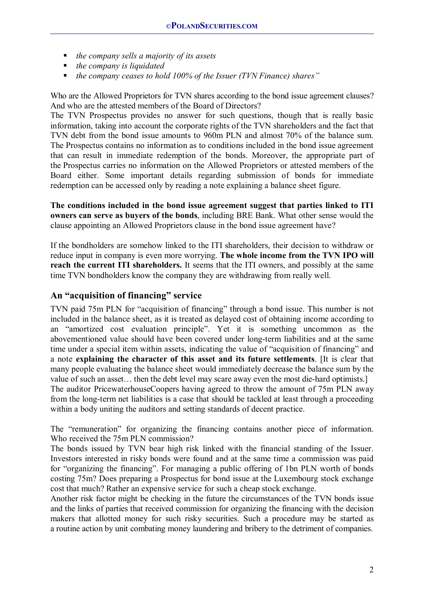- *the company sells a majority of its assets*
- *the company is liquidated*
- *the company ceases to hold 100% of the Issuer (TVN Finance) shares"*

Who are the Allowed Proprietors for TVN shares according to the bond issue agreement clauses? And who are the attested members of the Board of Directors?

The TVN Prospectus provides no answer for such questions, though that is really basic information, taking into account the corporate rights of the TVN shareholders and the fact that TVN debt from the bond issue amounts to 960m PLN and almost 70% of the balance sum. The Prospectus contains no information as to conditions included in the bond issue agreement that can result in immediate redemption of the bonds. Moreover, the appropriate part of the Prospectus carries no information on the Allowed Proprietors or attested members of the Board either. Some important details regarding submission of bonds for immediate redemption can be accessed only by reading a note explaining a balance sheet figure.

**The conditions included in the bond issue agreement suggest that parties linked to ITI owners can serve as buyers of the bonds**, including BRE Bank. What other sense would the clause appointing an Allowed Proprietors clause in the bond issue agreement have?

If the bondholders are somehow linked to the ITI shareholders, their decision to withdraw or reduce input in company is even more worrying. **The whole income from the TVN IPO will reach the current ITI shareholders.** It seems that the ITI owners, and possibly at the same time TVN bondholders know the company they are withdrawing from really well.

#### **An "acquisition of financing" service**

TVN paid 75m PLN for "acquisition of financing" through a bond issue. This number is not included in the balance sheet, as it is treated as delayed cost of obtaining income according to an "amortized cost evaluation principle". Yet it is something uncommon as the abovementioned value should have been covered under long-term liabilities and at the same time under a special item within assets, indicating the value of "acquisition of financing" and a note **explaining the character of this asset and its future settlements**. [It is clear that many people evaluating the balance sheet would immediately decrease the balance sum by the value of such an asset… then the debt level may scare away even the most die-hard optimists.] The auditor PricewaterhouseCoopers having agreed to throw the amount of 75m PLN away from the long-term net liabilities is a case that should be tackled at least through a proceeding within a body uniting the auditors and setting standards of decent practice.

The "remuneration" for organizing the financing contains another piece of information. Who received the 75m PLN commission?

The bonds issued by TVN bear high risk linked with the financial standing of the Issuer. Investors interested in risky bonds were found and at the same time a commission was paid for "organizing the financing". For managing a public offering of 1bn PLN worth of bonds costing 75m? Does preparing a Prospectus for bond issue at the Luxembourg stock exchange cost that much? Rather an expensive service for such a cheap stock exchange.

Another risk factor might be checking in the future the circumstances of the TVN bonds issue and the links of parties that received commission for organizing the financing with the decision makers that allotted money for such risky securities. Such a procedure may be started as a routine action by unit combating money laundering and bribery to the detriment of companies.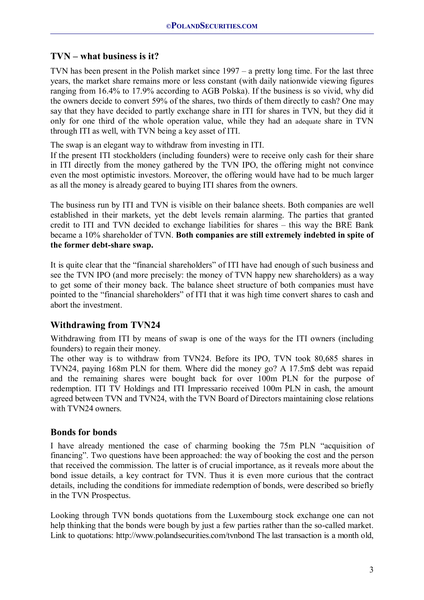## **TVN – what business is it?**

TVN has been present in the Polish market since 1997 – a pretty long time. For the last three years, the market share remains more or less constant (with daily nationwide viewing figures ranging from 16.4% to 17.9% according to AGB Polska). If the business is so vivid, why did the owners decide to convert 59% of the shares, two thirds of them directly to cash? One may say that they have decided to partly exchange share in ITI for shares in TVN, but they did it only for one third of the whole operation value, while they had an adequate share in TVN through ITI as well, with TVN being a key asset of ITI.

The swap is an elegant way to withdraw from investing in ITI.

If the present ITI stockholders (including founders) were to receive only cash for their share in ITI directly from the money gathered by the TVN IPO, the offering might not convince even the most optimistic investors. Moreover, the offering would have had to be much larger as all the money is already geared to buying ITI shares from the owners.

The business run by ITI and TVN is visible on their balance sheets. Both companies are well established in their markets, yet the debt levels remain alarming. The parties that granted credit to ITI and TVN decided to exchange liabilities for shares – this way the BRE Bank became a 10% shareholder of TVN. **Both companies are still extremely indebted in spite of the former debt-share swap.**

It is quite clear that the "financial shareholders" of ITI have had enough of such business and see the TVN IPO (and more precisely: the money of TVN happy new shareholders) as a way to get some of their money back. The balance sheet structure of both companies must have pointed to the "financial shareholders" of ITI that it was high time convert shares to cash and abort the investment.

## **Withdrawing from TVN24**

Withdrawing from ITI by means of swap is one of the ways for the ITI owners (including founders) to regain their money.

The other way is to withdraw from TVN24. Before its IPO, TVN took 80,685 shares in TVN24, paying 168m PLN for them. Where did the money go? A 17.5m\$ debt was repaid and the remaining shares were bought back for over 100m PLN for the purpose of redemption. ITI TV Holdings and ITI Impressario received 100m PLN in cash, the amount agreed between TVN and TVN24, with the TVN Board of Directors maintaining close relations with TVN24 owners.

## **Bonds for bonds**

I have already mentioned the case of charming booking the 75m PLN "acquisition of financing". Two questions have been approached: the way of booking the cost and the person that received the commission. The latter is of crucial importance, as it reveals more about the bond issue details, a key contract for TVN. Thus it is even more curious that the contract details, including the conditions for immediate redemption of bonds, were described so briefly in the TVN Prospectus.

Looking through TVN bonds quotations from the Luxembourg stock exchange one can not help thinking that the bonds were bough by just a few parties rather than the so-called market. Link to quotations: http://www.polandsecurities.com/tynbond The last transaction is a month old,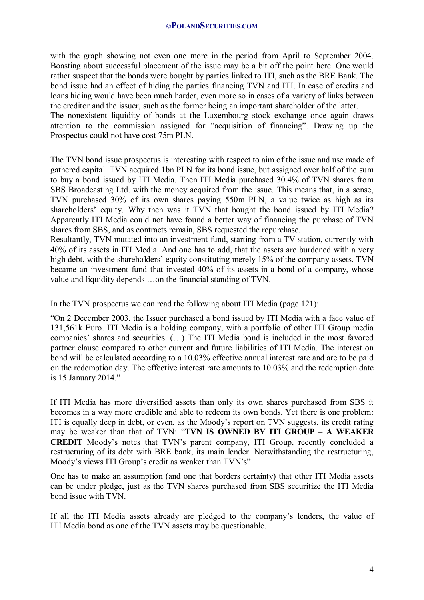with the graph showing not even one more in the period from April to September 2004. Boasting about successful placement of the issue may be a bit off the point here. One would rather suspect that the bonds were bought by parties linked to ITI, such as the BRE Bank. The bond issue had an effect of hiding the parties financing TVN and ITI. In case of credits and loans hiding would have been much harder, even more so in cases of a variety of links between the creditor and the issuer, such as the former being an important shareholder of the latter.

The nonexistent liquidity of bonds at the Luxembourg stock exchange once again draws attention to the commission assigned for "acquisition of financing". Drawing up the Prospectus could not have cost 75m PLN.

The TVN bond issue prospectus is interesting with respect to aim of the issue and use made of gathered capital. TVN acquired 1bn PLN for its bond issue, but assigned over half of the sum to buy a bond issued by ITI Media. Then ITI Media purchased 30.4% of TVN shares from SBS Broadcasting Ltd. with the money acquired from the issue. This means that, in a sense, TVN purchased 30% of its own shares paying 550m PLN, a value twice as high as its shareholders' equity. Why then was it TVN that bought the bond issued by ITI Media? Apparently ITI Media could not have found a better way of financing the purchase of TVN shares from SBS, and as contracts remain, SBS requested the repurchase.

Resultantly, TVN mutated into an investment fund, starting from a TV station, currently with 40% of its assets in ITI Media. And one has to add, that the assets are burdened with a very high debt, with the shareholders' equity constituting merely 15% of the company assets. TVN became an investment fund that invested 40% of its assets in a bond of a company, whose value and liquidity depends …on the financial standing of TVN.

In the TVN prospectus we can read the following about ITI Media (page 121):

"On 2 December 2003, the Issuer purchased a bond issued by ITI Media with a face value of 131,561k Euro. ITI Media is a holding company, with a portfolio of other ITI Group media companies' shares and securities. (…) The ITI Media bond is included in the most favored partner clause compared to other current and future liabilities of ITI Media. The interest on bond will be calculated according to a 10.03% effective annual interest rate and are to be paid on the redemption day. The effective interest rate amounts to 10.03% and the redemption date is 15 January 2014."

If ITI Media has more diversified assets than only its own shares purchased from SBS it becomes in a way more credible and able to redeem its own bonds. Yet there is one problem: ITI is equally deep in debt, or even, as the Moody's report on TVN suggests, its credit rating may be weaker than that of TVN: "**TVN IS OWNED BY ITI GROUP – A WEAKER CREDIT** Moody's notes that TVN's parent company, ITI Group, recently concluded a restructuring of its debt with BRE bank, its main lender. Notwithstanding the restructuring, Moody's views ITI Group's credit as weaker than TVN's"

One has to make an assumption (and one that borders certainty) that other ITI Media assets can be under pledge, just as the TVN shares purchased from SBS securitize the ITI Media bond issue with TVN.

If all the ITI Media assets already are pledged to the company's lenders, the value of ITI Media bond as one of the TVN assets may be questionable.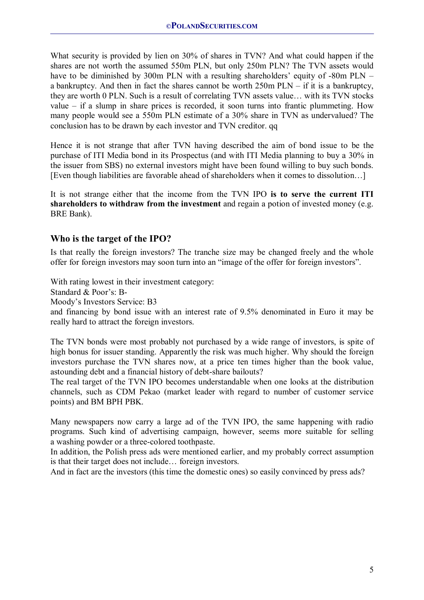What security is provided by lien on 30% of shares in TVN? And what could happen if the shares are not worth the assumed 550m PLN, but only 250m PLN? The TVN assets would have to be diminished by 300m PLN with a resulting shareholders' equity of -80m PLN – a bankruptcy. And then in fact the shares cannot be worth 250m PLN – if it is a bankruptcy, they are worth 0 PLN. Such is a result of correlating TVN assets value… with its TVN stocks value – if a slump in share prices is recorded, it soon turns into frantic plummeting. How many people would see a 550m PLN estimate of a 30% share in TVN as undervalued? The conclusion has to be drawn by each investor and TVN creditor. qq

Hence it is not strange that after TVN having described the aim of bond issue to be the purchase of ITI Media bond in its Prospectus (and with ITI Media planning to buy a 30% in the issuer from SBS) no external investors might have been found willing to buy such bonds. [Even though liabilities are favorable ahead of shareholders when it comes to dissolution…]

It is not strange either that the income from the TVN IPO **is to serve the current ITI shareholders to withdraw from the investment** and regain a potion of invested money (e.g. BRE Bank).

## **Who is the target of the IPO?**

Is that really the foreign investors? The tranche size may be changed freely and the whole offer for foreign investors may soon turn into an "image of the offer for foreign investors".

With rating lowest in their investment category:

Standard & Poor's: B-

Moody's Investors Service: B3

and financing by bond issue with an interest rate of 9.5% denominated in Euro it may be really hard to attract the foreign investors.

The TVN bonds were most probably not purchased by a wide range of investors, is spite of high bonus for issuer standing. Apparently the risk was much higher. Why should the foreign investors purchase the TVN shares now, at a price ten times higher than the book value, astounding debt and a financial history of debt-share bailouts?

The real target of the TVN IPO becomes understandable when one looks at the distribution channels, such as CDM Pekao (market leader with regard to number of customer service points) and BM BPH PBK.

Many newspapers now carry a large ad of the TVN IPO, the same happening with radio programs. Such kind of advertising campaign, however, seems more suitable for selling a washing powder or a three-colored toothpaste.

In addition, the Polish press ads were mentioned earlier, and my probably correct assumption is that their target does not include… foreign investors.

And in fact are the investors (this time the domestic ones) so easily convinced by press ads?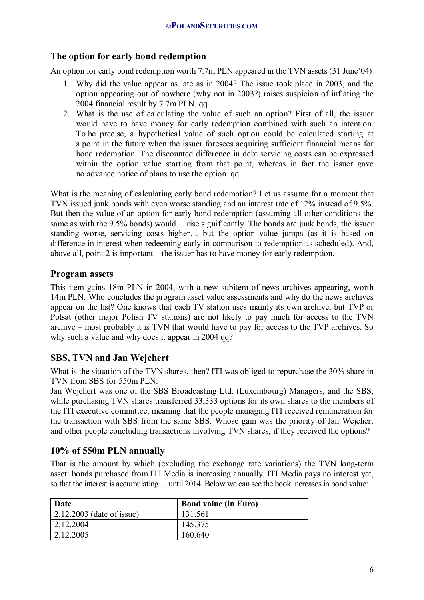## **The option for early bond redemption**

An option for early bond redemption worth 7.7m PLN appeared in the TVN assets (31 June'04)

- 1. Why did the value appear as late as in 2004? The issue took place in 2003, and the option appearing out of nowhere (why not in 2003?) raises suspicion of inflating the 2004 financial result by 7.7m PLN. qq
- 2. What is the use of calculating the value of such an option? First of all, the issuer would have to have money for early redemption combined with such an intention. To be precise, a hypothetical value of such option could be calculated starting at a point in the future when the issuer foresees acquiring sufficient financial means for bond redemption. The discounted difference in debt servicing costs can be expressed within the option value starting from that point, whereas in fact the issuer gave no advance notice of plans to use the option. qq

What is the meaning of calculating early bond redemption? Let us assume for a moment that TVN issued junk bonds with even worse standing and an interest rate of 12% instead of 9.5%. But then the value of an option for early bond redemption (assuming all other conditions the same as with the 9.5% bonds) would… rise significantly. The bonds are junk bonds, the issuer standing worse, servicing costs higher… but the option value jumps (as it is based on difference in interest when redeeming early in comparison to redemption as scheduled). And, above all, point 2 is important – the issuer has to have money for early redemption.

## **Program assets**

This item gains 18m PLN in 2004, with a new subitem of news archives appearing, worth 14m PLN. Who concludes the program asset value assessments and why do the news archives appear on the list? One knows that each TV station uses mainly its own archive, but TVP or Polsat (other major Polish TV stations) are not likely to pay much for access to the TVN archive – most probably it is TVN that would have to pay for access to the TVP archives. So why such a value and why does it appear in 2004 qq?

## **SBS, TVN and Jan Wejchert**

What is the situation of the TVN shares, then? ITI was obliged to repurchase the 30% share in TVN from SBS for 550m PLN.

Jan Wejchert was one of the SBS Broadcasting Ltd. (Luxembourg) Managers, and the SBS, while purchasing TVN shares transferred 33,333 options for its own shares to the members of the ITI executive committee, meaning that the people managing ITI received remuneration for the transaction with SBS from the same SBS. Whose gain was the priority of Jan Wejchert and other people concluding transactions involving TVN shares, if they received the options?

## **10% of 550m PLN annually**

That is the amount by which (excluding the exchange rate variations) the TVN long-term asset: bonds purchased from ITI Media is increasing annually. ITI Media pays no interest yet, so that the interest is accumulating… until 2014. Below we can see the book increases in bond value:

| Date                              | <b>Bond value (in Euro)</b> |
|-----------------------------------|-----------------------------|
| $\vert$ 2.12.2003 (date of issue) | 131.561                     |
| 2.12.2004                         | 145.375                     |
| 2.12.2005                         | 160.640                     |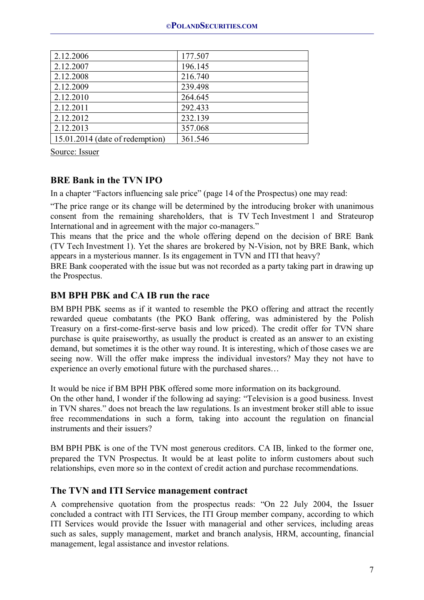| 2.12.2006                       | 177.507 |
|---------------------------------|---------|
| 2.12.2007                       | 196.145 |
| 2.12.2008                       | 216.740 |
| 2.12.2009                       | 239.498 |
| 2.12.2010                       | 264.645 |
| 2.12.2011                       | 292.433 |
| 2.12.2012                       | 232.139 |
| 2.12.2013                       | 357.068 |
| 15.01.2014 (date of redemption) | 361.546 |

Source: Issuer

## **BRE Bank in the TVN IPO**

In a chapter "Factors influencing sale price" (page 14 of the Prospectus) one may read:

"The price range or its change will be determined by the introducing broker with unanimous consent from the remaining shareholders, that is TV Tech Investment 1 and Strateurop International and in agreement with the major co-managers."

This means that the price and the whole offering depend on the decision of BRE Bank (TV Tech Investment 1). Yet the shares are brokered by N-Vision, not by BRE Bank, which appears in a mysterious manner. Is its engagement in TVN and ITI that heavy?

BRE Bank cooperated with the issue but was not recorded as a party taking part in drawing up the Prospectus.

## **BM BPH PBK and CA IB run the race**

BM BPH PBK seems as if it wanted to resemble the PKO offering and attract the recently rewarded queue combatants (the PKO Bank offering, was administered by the Polish Treasury on a first-come-first-serve basis and low priced). The credit offer for TVN share purchase is quite praiseworthy, as usually the product is created as an answer to an existing demand, but sometimes it is the other way round. It is interesting, which of those cases we are seeing now. Will the offer make impress the individual investors? May they not have to experience an overly emotional future with the purchased shares…

It would be nice if BM BPH PBK offered some more information on its background.

On the other hand, I wonder if the following ad saying: "Television is a good business. Invest in TVN shares." does not breach the law regulations. Is an investment broker still able to issue free recommendations in such a form, taking into account the regulation on financial instruments and their issuers?

BM BPH PBK is one of the TVN most generous creditors. CA IB, linked to the former one, prepared the TVN Prospectus. It would be at least polite to inform customers about such relationships, even more so in the context of credit action and purchase recommendations.

#### **The TVN and ITI Service management contract**

A comprehensive quotation from the prospectus reads: "On 22 July 2004, the Issuer concluded a contract with ITI Services, the ITI Group member company, according to which ITI Services would provide the Issuer with managerial and other services, including areas such as sales, supply management, market and branch analysis, HRM, accounting, financial management, legal assistance and investor relations.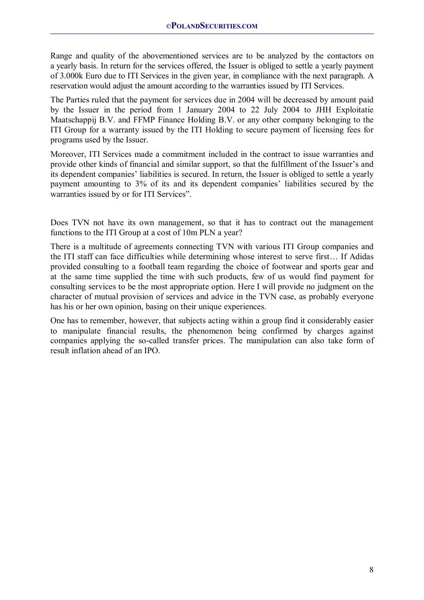Range and quality of the abovementioned services are to be analyzed by the contactors on a yearly basis. In return for the services offered, the Issuer is obliged to settle a yearly payment of 3.000k Euro due to ITI Services in the given year, in compliance with the next paragraph. A reservation would adjust the amount according to the warranties issued by ITI Services.

The Parties ruled that the payment for services due in 2004 will be decreased by amount paid by the Issuer in the period from 1 January 2004 to 22 July 2004 to JHH Exploitatie Maatschappij B.V. and FFMP Finance Holding B.V. or any other company belonging to the ITI Group for a warranty issued by the ITI Holding to secure payment of licensing fees for programs used by the Issuer.

Moreover, ITI Services made a commitment included in the contract to issue warranties and provide other kinds of financial and similar support, so that the fulfillment of the Issuer's and its dependent companies' liabilities is secured. In return, the Issuer is obliged to settle a yearly payment amounting to 3% of its and its dependent companies' liabilities secured by the warranties issued by or for ITI Services".

Does TVN not have its own management, so that it has to contract out the management functions to the ITI Group at a cost of 10m PLN a year?

There is a multitude of agreements connecting TVN with various ITI Group companies and the ITI staff can face difficulties while determining whose interest to serve first… If Adidas provided consulting to a football team regarding the choice of footwear and sports gear and at the same time supplied the time with such products, few of us would find payment for consulting services to be the most appropriate option. Here I will provide no judgment on the character of mutual provision of services and advice in the TVN case, as probably everyone has his or her own opinion, basing on their unique experiences.

One has to remember, however, that subjects acting within a group find it considerably easier to manipulate financial results, the phenomenon being confirmed by charges against companies applying the so-called transfer prices. The manipulation can also take form of result inflation ahead of an IPO.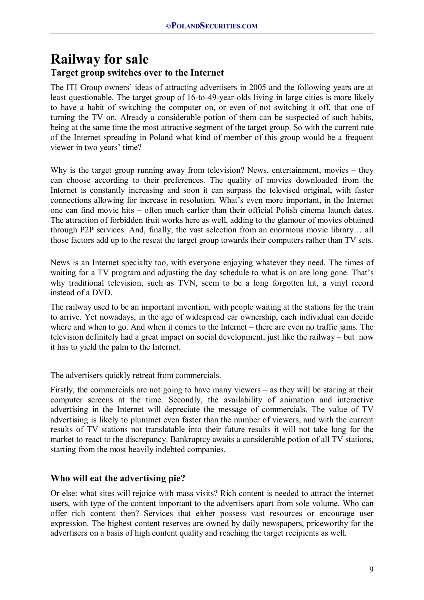## **Railway for sale Target group switches over to the Internet**

The ITI Group owners' ideas of attracting advertisers in 2005 and the following years are at least questionable. The target group of 16-to-49-year-olds living in large cities is more likely to have a habit of switching the computer on, or even of not switching it off, that one of turning the TV on. Already a considerable potion of them can be suspected of such habits, being at the same time the most attractive segment of the target group. So with the current rate of the Internet spreading in Poland what kind of member of this group would be a frequent viewer in two years' time?

Why is the target group running away from television? News, entertainment, movies – they can choose according to their preferences. The quality of movies downloaded from the Internet is constantly increasing and soon it can surpass the televised original, with faster connections allowing for increase in resolution. What's even more important, in the Internet one can find movie hits – often much earlier than their official Polish cinema launch dates. The attraction of forbidden fruit works here as well, adding to the glamour of movies obtained through P2P services. And, finally, the vast selection from an enormous movie library… all those factors add up to the reseat the target group towards their computers rather than TV sets.

News is an Internet specialty too, with everyone enjoying whatever they need. The times of waiting for a TV program and adjusting the day schedule to what is on are long gone. That's why traditional television, such as TVN, seem to be a long forgotten hit, a vinyl record instead of a DVD.

The railway used to be an important invention, with people waiting at the stations for the train to arrive. Yet nowadays, in the age of widespread car ownership, each individual can decide where and when to go. And when it comes to the Internet – there are even no traffic jams. The television definitely had a great impact on social development, just like the railway – but now it has to yield the palm to the Internet.

The advertisers quickly retreat from commercials.

Firstly, the commercials are not going to have many viewers – as they will be staring at their computer screens at the time. Secondly, the availability of animation and interactive advertising in the Internet will depreciate the message of commercials. The value of TV advertising is likely to plummet even faster than the number of viewers, and with the current results of TV stations not translatable into their future results it will not take long for the market to react to the discrepancy. Bankruptcy awaits a considerable potion of all TV stations, starting from the most heavily indebted companies.

## **Who will eat the advertising pie?**

Or else: what sites will rejoice with mass visits? Rich content is needed to attract the internet users, with type of the content important to the advertisers apart from sole volume. Who can offer rich content then? Services that either possess vast resources or encourage user expression. The highest content reserves are owned by daily newspapers, priceworthy for the advertisers on a basis of high content quality and reaching the target recipients as well.